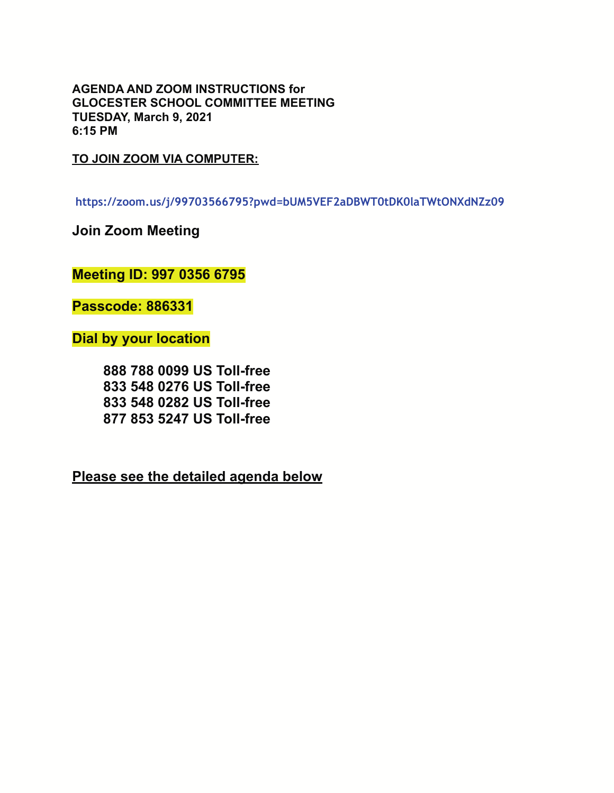**AGENDA AND ZOOM INSTRUCTIONS for GLOCESTER SCHOOL COMMITTEE MEETING TUESDAY, March 9, 2021 6:15 PM** 

**TO JOIN ZOOM VIA COMPUTER:** 

**https://zoom.us/j/99703566795?pwd=bUM5VEF2aDBWT0tDK0laTWtONXdNZz09**

**Join Zoom Meeting** 

**Meeting ID: 997 0356 6795** 

**Passcode: 886331** 

**Dial by your location**

 **888 788 0099 US Toll-free 833 548 0276 US Toll-free 833 548 0282 US Toll-free 877 853 5247 US Toll-free** 

**Please see the detailed agenda below**